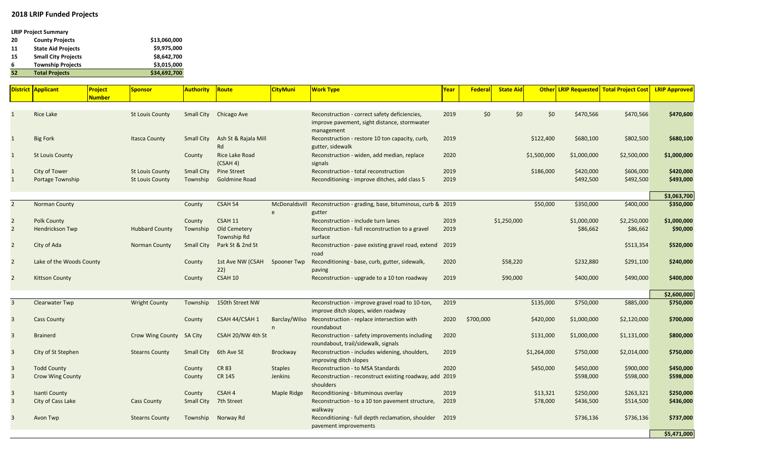## **2018 LRIP Funded Projects**

## **LRIP Project Summary**

| 20 | <b>County Projects</b>     | \$13,060,000 |
|----|----------------------------|--------------|
| 11 | <b>State Aid Projects</b>  | \$9,975,000  |
| 15 | <b>Small City Projects</b> | \$8,642,700  |
| 6  | <b>Township Projects</b>   | \$3,015,000  |
| 52 | <b>Total Projects</b>      | \$34,692,700 |

|                         | <b>District Applicant</b> | Project<br><b>Number</b> | <b>Sponsor</b>           | Authority l       | Route                               | <b>CityMuni</b>    | <b>Work Type</b>                                                                                            | <u>Year</u> | <b>Federal</b> | <b>State Aid</b> |             |             | <b>Other LRIP Requested Total Project Cost</b> | <b>LRIP Approved</b> |
|-------------------------|---------------------------|--------------------------|--------------------------|-------------------|-------------------------------------|--------------------|-------------------------------------------------------------------------------------------------------------|-------------|----------------|------------------|-------------|-------------|------------------------------------------------|----------------------|
| $\mathbf{1}$            | <b>Rice Lake</b>          |                          | <b>St Louis County</b>   |                   | Small City Chicago Ave              |                    | Reconstruction - correct safety deficiencies,<br>improve pavement, sight distance, stormwater<br>management | 2019        | \$0            | \$0              | \$0         | \$470,566   | \$470,566                                      | \$470,600            |
| $\mathbf{1}$            | <b>Big Fork</b>           |                          | <b>Itasca County</b>     | Small City        | Ash St & Rajala Mill<br>Rd          |                    | Reconstruction - restore 10 ton capacity, curb,<br>gutter, sidewalk                                         | 2019        |                |                  | \$122,400   | \$680,100   | \$802,500                                      | \$680,100            |
| $\mathbf{1}$            | <b>St Louis County</b>    |                          |                          | County            | Rice Lake Road<br>(CSAH 4)          |                    | Reconstruction - widen, add median, replace<br>signals                                                      | 2020        |                |                  | \$1,500,000 | \$1,000,000 | \$2,500,000                                    | \$1,000,000          |
| $\mathbf{1}$            | City of Tower             |                          | <b>St Louis County</b>   | <b>Small City</b> | <b>Pine Street</b>                  |                    | Reconstruction - total reconstruction                                                                       | 2019        |                |                  | \$186,000   | \$420,000   | \$606,000                                      | \$420,000            |
| $\mathbf{1}$            | Portage Township          |                          | <b>St Louis County</b>   | Township          | Goldmine Road                       |                    | Reconditioning - improve ditches, add class 5                                                               | 2019        |                |                  |             | \$492,500   | \$492,500                                      | \$493,000            |
|                         |                           |                          |                          |                   |                                     |                    |                                                                                                             |             |                |                  |             |             |                                                | \$3,063,700          |
| $\overline{2}$          | <b>Norman County</b>      |                          |                          | County            | CSAH 54                             | e                  | McDonaldsvill Reconstruction - grading, base, bituminous, curb & 2019<br>gutter                             |             |                |                  | \$50,000    | \$350,000   | \$400,000                                      | \$350,000            |
| $\overline{2}$          | <b>Polk County</b>        |                          |                          | County            | <b>CSAH 11</b>                      |                    | Reconstruction - include turn lanes                                                                         | 2019        |                | \$1,250,000      |             | \$1,000,000 | \$2,250,000                                    | \$1,000,000          |
| $\overline{2}$          | Hendrickson Twp           |                          | <b>Hubbard County</b>    | Township          | Old Cemetery<br>Township Rd         |                    | Reconstruction - full reconstruction to a gravel<br>surface                                                 | 2019        |                |                  |             | \$86,662    | \$86,662                                       | \$90,000             |
| $\overline{2}$          | City of Ada               |                          | Norman County            | <b>Small City</b> | Park St & 2nd St                    |                    | Reconstruction - pave existing gravel road, extend 2019<br>road                                             |             |                |                  |             |             | \$513,354                                      | \$520,000            |
| $\overline{2}$          | Lake of the Woods County  |                          |                          | County            | 1st Ave NW (CSAH Spooner Twp<br>22) |                    | Reconditioning - base, curb, gutter, sidewalk,<br>paving                                                    | 2020        |                | \$58,220         |             | \$232,880   | \$291,100                                      | \$240,000            |
| $\overline{2}$          | <b>Kittson County</b>     |                          |                          | County            | <b>CSAH 10</b>                      |                    | Reconstruction - upgrade to a 10 ton roadway                                                                | 2019        |                | \$90,000         |             | \$400,000   | \$490,000                                      | \$400,000            |
|                         |                           |                          |                          |                   |                                     |                    |                                                                                                             |             |                |                  |             |             |                                                | \$2,600,000          |
| $\overline{3}$          | <b>Clearwater Twp</b>     |                          | <b>Wright County</b>     | Township          | 150th Street NW                     |                    | Reconstruction - improve gravel road to 10-ton,<br>improve ditch slopes, widen roadway                      | 2019        |                |                  | \$135,000   | \$750,000   | \$885,000                                      | \$750,000            |
| $\overline{\mathbf{3}}$ | <b>Cass County</b>        |                          |                          | County            | CSAH 44/CSAH 1                      | Barclay/Wilso<br>n | Reconstruction - replace intersection with<br>roundabout                                                    | 2020        | \$700,000      |                  | \$420,000   | \$1,000,000 | \$2,120,000                                    | \$700,000            |
| $\overline{\mathbf{3}}$ | <b>Brainerd</b>           |                          | Crow Wing County SA City |                   | CSAH 20/NW 4th St                   |                    | Reconstruction - safety improvements including<br>roundabout, trail/sidewalk, signals                       | 2020        |                |                  | \$131,000   | \$1,000,000 | \$1,131,000                                    | \$800,000            |
| $\overline{3}$          | City of St Stephen        |                          | <b>Stearns County</b>    | <b>Small City</b> | 6th Ave SE                          | <b>Brockway</b>    | Reconstruction - includes widening, shoulders,<br>improving ditch slopes                                    | 2019        |                |                  | \$1,264,000 | \$750,000   | \$2,014,000                                    | \$750,000            |
| $\overline{\mathbf{3}}$ | <b>Todd County</b>        |                          |                          | County            | <b>CR 83</b>                        | <b>Staples</b>     | Reconstruction - to MSA Standards                                                                           | 2020        |                |                  | \$450,000   | \$450,000   | \$900,000                                      | \$450,000            |
| $\overline{3}$          | <b>Crow Wing County</b>   |                          |                          | County            | <b>CR 145</b>                       | Jenkins            | Reconstruction - reconstruct existing roadway, add 2019<br>shoulders                                        |             |                |                  |             | \$598,000   | \$598,000                                      | \$598,000            |
| $\overline{\mathbf{3}}$ | <b>Isanti County</b>      |                          |                          | County            | CSAH 4                              | Maple Ridge        | Reconditioning - bituminous overlay                                                                         | 2019        |                |                  | \$13,321    | \$250,000   | \$263,321                                      | \$250,000            |
| $\overline{\mathbf{3}}$ | City of Cass Lake         |                          | <b>Cass County</b>       |                   | Small City 7th Street               |                    | Reconstruction - to a 10 ton pavement structure,<br>walkway                                                 | 2019        |                |                  | \$78,000    | \$436,500   | \$514,500                                      | \$436,000            |
| $\overline{3}$          | Avon Twp                  |                          | <b>Stearns County</b>    |                   | Township Norway Rd                  |                    | Reconditioning - full depth reclamation, shoulder 2019<br>pavement improvements                             |             |                |                  |             | \$736,136   | \$736,136                                      | \$737,000            |
|                         |                           |                          |                          |                   |                                     |                    |                                                                                                             |             |                |                  |             |             |                                                | \$5,471,000          |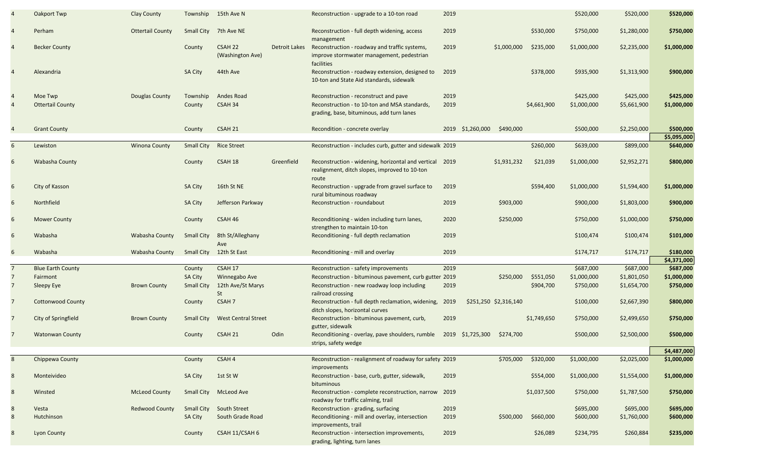|                | Oakport Twp              | Clay County             |                   | Township 15th Ave N         |               | Reconstruction - upgrade to a 10-ton road                                                                    | 2019 |                               |             | \$520,000   | \$520,000   | \$520,000                |
|----------------|--------------------------|-------------------------|-------------------|-----------------------------|---------------|--------------------------------------------------------------------------------------------------------------|------|-------------------------------|-------------|-------------|-------------|--------------------------|
| $\overline{4}$ | Perham                   | <b>Ottertail County</b> | Small City        | 7th Ave NE                  |               | Reconstruction - full depth widening, access<br>management                                                   | 2019 |                               | \$530,000   | \$750,000   | \$1,280,000 | \$750,000                |
| $\overline{4}$ | <b>Becker County</b>     |                         | County            | CSAH 22<br>(Washington Ave) | Detroit Lakes | Reconstruction - roadway and traffic systems,<br>improve stormwater management, pedestrian<br>facilities     | 2019 | \$1,000,000                   | \$235,000   | \$1,000,000 | \$2,235,000 | \$1,000,000              |
|                | Alexandria               |                         | <b>SA City</b>    | 44th Ave                    |               | Reconstruction - roadway extension, designed to<br>10-ton and State Aid standards, sidewalk                  | 2019 |                               | \$378,000   | \$935,900   | \$1,313,900 | \$900,000                |
|                | Moe Twp                  | Douglas County          | Township          | Andes Road                  |               | Reconstruction - reconstruct and pave                                                                        | 2019 |                               |             | \$425,000   | \$425,000   | \$425,000                |
|                | <b>Ottertail County</b>  |                         | County            | CSAH 34                     |               | Reconstruction - to 10-ton and MSA standards,<br>grading, base, bituminous, add turn lanes                   | 2019 |                               | \$4,661,900 | \$1,000,000 | \$5,661,900 | \$1,000,000              |
| $\overline{4}$ | <b>Grant County</b>      |                         | County            | CSAH 21                     |               | Recondition - concrete overlay                                                                               |      | 2019 \$1,260,000<br>\$490,000 |             | \$500,000   | \$2,250,000 | \$500,000                |
|                |                          |                         |                   |                             |               |                                                                                                              |      |                               |             |             |             | \$5,095,000              |
| 6              | Lewiston                 | <b>Winona County</b>    | <b>Small City</b> | <b>Rice Street</b>          |               | Reconstruction - includes curb, gutter and sidewalk 2019                                                     |      |                               | \$260,000   | \$639,000   | \$899,000   | \$640,000                |
| 6              | Wabasha County           |                         | County            | CSAH 18                     | Greenfield    | Reconstruction - widening, horizontal and vertical<br>realignment, ditch slopes, improved to 10-ton<br>route | 2019 | \$1,931,232                   | \$21,039    | \$1,000,000 | \$2,952,271 | \$800,000                |
| 6              | City of Kasson           |                         | <b>SA City</b>    | 16th St NE                  |               | Reconstruction - upgrade from gravel surface to<br>rural bituminous roadway                                  | 2019 |                               | \$594,400   | \$1,000,000 | \$1,594,400 | \$1,000,000              |
| 6              | Northfield               |                         | <b>SA City</b>    | Jefferson Parkway           |               | Reconstruction - roundabout                                                                                  | 2019 | \$903,000                     |             | \$900,000   | \$1,803,000 | \$900,000                |
| 6              | <b>Mower County</b>      |                         | County            | CSAH 46                     |               | Reconditioning - widen including turn lanes,<br>strengthen to maintain 10-ton                                | 2020 | \$250,000                     |             | \$750,000   | \$1,000,000 | \$750,000                |
| 6              | Wabasha                  | Wabasha County          | <b>Small City</b> | 8th St/Alleghany<br>Ave     |               | Reconditioning - full depth reclamation                                                                      | 2019 |                               |             | \$100,474   | \$100,474   | \$101,000                |
| 6              | Wabasha                  | Wabasha County          | Small City        | 12th St East                |               | Reconditioning - mill and overlay                                                                            | 2019 |                               |             | \$174,717   | \$174,717   | \$180,000<br>\$4,371,000 |
| $\overline{7}$ | <b>Blue Earth County</b> |                         | County            | CSAH 17                     |               | Reconstruction - safety improvements                                                                         | 2019 |                               |             | \$687,000   | \$687,000   | \$687,000                |
| 7              | Fairmont                 |                         | <b>SA City</b>    | Winnegabo Ave               |               | Reconstruction - bituminous pavement, curb gutter 2019                                                       |      | \$250,000                     | \$551,050   | \$1,000,000 | \$1,801,050 | \$1,000,000              |
| 7              | Sleepy Eye               | <b>Brown County</b>     | <b>Small City</b> | 12th Ave/St Marys<br>St     |               | Reconstruction - new roadway loop including<br>railroad crossing                                             | 2019 |                               | \$904,700   | \$750,000   | \$1,654,700 | \$750,000                |
| $\overline{7}$ | <b>Cottonwood County</b> |                         | County            | CSAH 7                      |               | Reconstruction - full depth reclamation, widening,<br>ditch slopes, horizontal curves                        | 2019 | \$251,250 \$2,316,140         |             | \$100,000   | \$2,667,390 | \$800,000                |
| 7              | City of Springfield      | <b>Brown County</b>     | Small City        | <b>West Central Street</b>  |               | Reconstruction - bituminous pavement, curb,<br>gutter, sidewalk                                              | 2019 |                               | \$1,749,650 | \$750,000   | \$2,499,650 | \$750,000                |
| 7              | <b>Watonwan County</b>   |                         | County            | CSAH <sub>21</sub>          | Odin          | Reconditioning - overlay, pave shoulders, rumble<br>strips, safety wedge                                     |      | 2019 \$1,725,300<br>\$274,700 |             | \$500,000   | \$2,500,000 | \$500,000                |
|                |                          |                         |                   |                             |               |                                                                                                              |      |                               |             |             |             | \$4,487,000              |
| 8              | Chippewa County          |                         | County            | CSAH 4                      |               | Reconstruction - realignment of roadway for safety 2019                                                      |      | \$705,000                     | \$320,000   | \$1,000,000 | \$2,025,000 | \$1,000,000              |
| 8              | Monteivideo              |                         | <b>SA City</b>    | 1st St W                    |               | improvements<br>Reconstruction - base, curb, gutter, sidewalk,<br>bituminous                                 | 2019 |                               | \$554,000   | \$1,000,000 | \$1,554,000 | \$1,000,000              |
| 8              | Winsted                  | <b>McLeod County</b>    | Small City        | <b>McLeod Ave</b>           |               | Reconstruction - complete reconstruction, narrow 2019<br>roadway for traffic calming, trail                  |      |                               | \$1,037,500 | \$750,000   | \$1,787,500 | \$750,000                |
| 8              | Vesta                    | <b>Redwood County</b>   | Small City        | South Street                |               | Reconstruction - grading, surfacing                                                                          | 2019 |                               |             | \$695,000   | \$695,000   | \$695,000                |
| 8              | Hutchinson               |                         | <b>SA City</b>    | South Grade Road            |               | Reconditioning - mill and overlay, intersection<br>improvements, trail                                       | 2019 | \$500,000                     | \$660,000   | \$600,000   | \$1,760,000 | \$600,000                |
| 8              | <b>Lyon County</b>       |                         | County            | CSAH 11/CSAH 6              |               | Reconstruction - intersection improvements,<br>grading, lighting, turn lanes                                 | 2019 |                               | \$26,089    | \$234,795   | \$260,884   | \$235,000                |